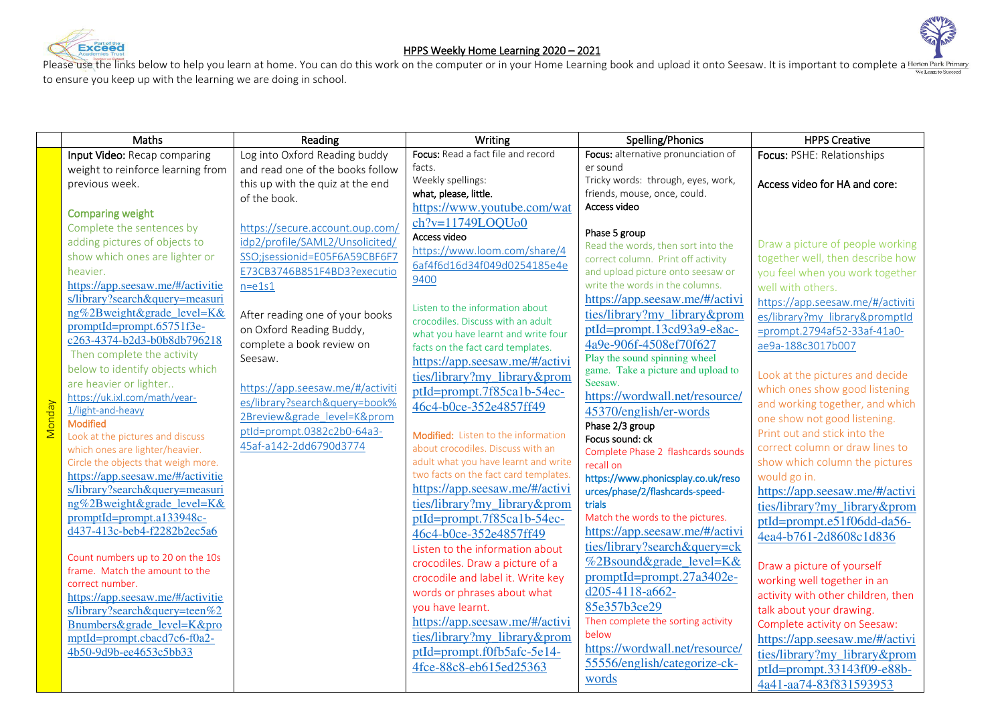



## HPPS Weekly Home Learning 2020 – 2021

Please use the links below to help you learn at home. You can do this work on the computer or in your Home Learning book and upload it onto Seesaw. It is important to complete a Horton Park Primary to ensure you keep up with the learning we are doing in school.

|               | Maths                                               | Reading                          | Writing                                                                  | Spelling/Phonics                                      | <b>HPPS Creative</b>               |  |
|---------------|-----------------------------------------------------|----------------------------------|--------------------------------------------------------------------------|-------------------------------------------------------|------------------------------------|--|
|               | Input Video: Recap comparing                        | Log into Oxford Reading buddy    | Focus: Read a fact file and record                                       | Focus: alternative pronunciation of                   | Focus: PSHE: Relationships         |  |
|               | weight to reinforce learning from                   | and read one of the books follow | facts.                                                                   | er sound                                              |                                    |  |
|               | previous week.                                      | this up with the quiz at the end | Weekly spellings:                                                        | Tricky words: through, eyes, work,                    | Access video for HA and core:      |  |
|               |                                                     | of the book.                     | what, please, little.                                                    | friends, mouse, once, could.                          |                                    |  |
|               | <b>Comparing weight</b>                             |                                  | https://www.youtube.com/wat                                              | Access video                                          |                                    |  |
|               | Complete the sentences by                           | https://secure.account.oup.com/  | $ch?v=11749LOQUo0$                                                       | Phase 5 group                                         |                                    |  |
|               | adding pictures of objects to                       | idp2/profile/SAML2/Unsolicited/  | Access video                                                             | Read the words, then sort into the                    | Draw a picture of people working   |  |
|               | show which ones are lighter or                      | SSO;jsessionid=E05F6A59CBF6F7    | https://www.loom.com/share/4                                             | correct column. Print off activity                    | together well, then describe how   |  |
|               | heavier.                                            | E73CB3746B851F4BD3?executio      | 6af4f6d16d34f049d0254185e4e                                              | and upload picture onto seesaw or                     | you feel when you work together    |  |
|               | https://app.seesaw.me/#/activitie                   | $n = e1s1$                       | 9400                                                                     | write the words in the columns.                       | well with others.                  |  |
|               | s/library?search&query=measuri                      |                                  |                                                                          | https://app.seesaw.me/#/activi                        | https://app.seesaw.me/#/activiti   |  |
|               | ng%2Bweight&grade level=K&                          | After reading one of your books  | Listen to the information about                                          | ties/library?my_library&prom                          | es/library?my library&promptId     |  |
|               | promptId=prompt.65751f3e-                           | on Oxford Reading Buddy,         | crocodiles. Discuss with an adult                                        | ptId=prompt.13cd93a9-e8ac-                            | =prompt.2794af52-33af-41a0-        |  |
|               | c263-4374-b2d3-b0b8db796218                         | complete a book review on        | what you have learnt and write four<br>facts on the fact card templates. | 4a9e-906f-4508ef70f627                                | ae9a-188c3017b007                  |  |
|               | Then complete the activity                          | Seesaw.                          | https://app.seesaw.me/#/activi                                           | Play the sound spinning wheel                         |                                    |  |
|               | below to identify objects which                     |                                  | ties/library?my_library&prom                                             | game. Take a picture and upload to                    | Look at the pictures and decide    |  |
|               | are heavier or lighter                              | https://app.seesaw.me/#/activiti | ptId=prompt.7f85ca1b-54ec-                                               | Seesaw.                                               | which ones show good listening     |  |
|               | https://uk.ixl.com/math/year-                       | es/library?search&query=book%    | 46c4-b0ce-352e4857ff49                                                   | https://wordwall.net/resource/                        | and working together, and which    |  |
| <b>Monday</b> | 1/light-and-heavy                                   | 2Breview&grade level=K&prom      |                                                                          | 45370/english/er-words                                | one show not good listening.       |  |
|               | <b>Modified</b><br>Look at the pictures and discuss | ptld=prompt.0382c2b0-64a3-       | Modified: Listen to the information                                      | Phase 2/3 group                                       | Print out and stick into the       |  |
|               | which ones are lighter/heavier.                     | 45af-a142-2dd6790d3774           | about crocodiles. Discuss with an                                        | Focus sound: ck<br>Complete Phase 2 flashcards sounds | correct column or draw lines to    |  |
|               | Circle the objects that weigh more.                 |                                  | adult what you have learnt and write                                     | recall on                                             | show which column the pictures     |  |
|               | https://app.seesaw.me/#/activitie                   |                                  | two facts on the fact card templates.                                    | https://www.phonicsplay.co.uk/reso                    | would go in.                       |  |
|               | s/library?search&query=measuri                      |                                  | https://app.seesaw.me/#/activi                                           | urces/phase/2/flashcards-speed-                       | https://app.seesaw.me/#/activi     |  |
|               | ng%2Bweight&grade level=K&                          |                                  | ties/library?my library&prom                                             | trials                                                | ties/library?my library&prom       |  |
|               | promptId=prompt.a133948c-                           |                                  | $ptId=prompt.7f85calb-54ec-$                                             | Match the words to the pictures.                      | ptId=prompt.e51f06dd-da56-         |  |
|               | d437-413c-beb4-f2282b2ec5a6                         |                                  | 46c4-b0ce-352e4857ff49                                                   | https://app.seesaw.me/#/activi                        | 4ea4-b761-2d8608c1d836             |  |
|               |                                                     |                                  | Listen to the information about                                          | ties/library?search&query=ck                          |                                    |  |
|               | Count numbers up to 20 on the 10s                   |                                  | crocodiles. Draw a picture of a                                          | %2Bsound&grade_level=K&                               | Draw a picture of yourself         |  |
|               | frame. Match the amount to the<br>correct number.   |                                  | crocodile and label it. Write key                                        | $promptId = prompt.27a3402e-$                         | working well together in an        |  |
|               | https://app.seesaw.me/#/activitie                   |                                  | words or phrases about what                                              | d205-4118-a662-                                       | activity with other children, then |  |
|               | s/library?search&query=teen%2                       |                                  | you have learnt.                                                         | 85e357b3ce29                                          | talk about your drawing.           |  |
|               | Bnumbers&grade_level=K&pro                          |                                  | https://app.seesaw.me/#/activi                                           | Then complete the sorting activity                    | Complete activity on Seesaw:       |  |
|               | mptId=prompt.cbacd7c6-f0a2-                         |                                  | ties/library?my_library&prom                                             | below                                                 | https://app.seesaw.me/#/activi     |  |
|               | 4b50-9d9b-ee4653c5bb33                              |                                  | ptId=prompt.f0fb5afc-5e14-                                               | https://wordwall.net/resource/                        | ties/library?my_library&prom       |  |
|               |                                                     |                                  | 4fce-88c8-eb615ed25363                                                   | 55556/english/categorize-ck-                          | ptId=prompt.33143f09-e88b-         |  |
|               |                                                     |                                  |                                                                          | words                                                 | 4a41-aa74-83f831593953             |  |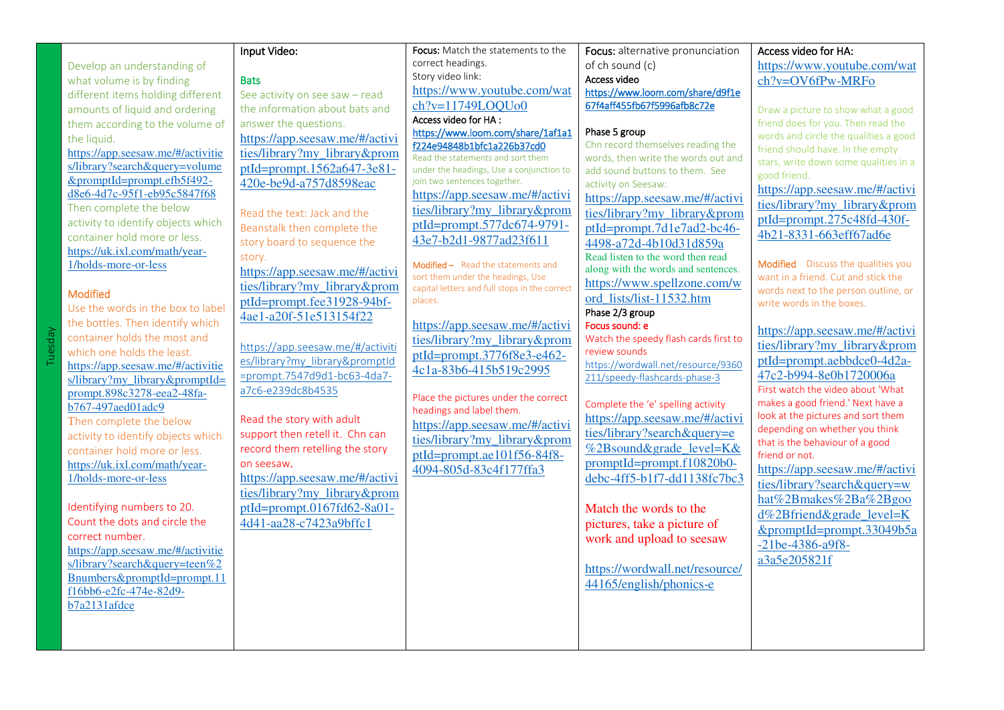|                                    | Input Video:                     | Focus: Match the statements to the                                            | Focus: alternative pronunciation                                   | Access video for HA:                              |
|------------------------------------|----------------------------------|-------------------------------------------------------------------------------|--------------------------------------------------------------------|---------------------------------------------------|
| Develop an understanding of        |                                  | correct headings.                                                             | of ch sound (c)                                                    | https://www.youtube.com/wat                       |
| what volume is by finding          | <b>Bats</b>                      | Story video link:                                                             | Access video                                                       | ch?v=OV6fPw-MRFo                                  |
| different items holding different  | See activity on see saw - read   | https://www.youtube.com/wat                                                   | https://www.loom.com/share/d9f1e                                   |                                                   |
| amounts of liquid and ordering     | the information about bats and   | $ch?v=11749LOOU00$                                                            | 67f4aff455fb67f5996afb8c72e                                        | Draw a picture to show what a good                |
| them according to the volume of    | answer the questions.            | Access video for HA:                                                          |                                                                    | friend does for you. Then read the                |
| the liquid.                        | https://app.seesaw.me/#/activi   | https://www.loom.com/share/1af1a1                                             | Phase 5 group                                                      | words and circle the qualities a good             |
| https://app.seesaw.me/#/activitie  | ties/library?my library&prom     | f224e94848b1bfc1a226b37cd0                                                    | Chn record themselves reading the                                  | friend should have. In the empty                  |
| s/library?search&query=volume      | ptId=prompt.1562a647-3e81-       | Read the statements and sort them<br>under the headings, Use a conjunction to | words, then write the words out and                                | stars, write down some qualities in a             |
| &promptId=prompt.efb5f492-         | 420e-be9d-a757d8598eac           | join two sentences together.                                                  | add sound buttons to them. See<br>activity on Seesaw:              | good friend.                                      |
| d8e6-4d7c-95f1-eb95c5847f68        |                                  | https://app.seesaw.me/#/activi                                                |                                                                    | https://app.seesaw.me/#/activi                    |
| Then complete the below            |                                  | ties/library?my_library&prom                                                  | https://app.seesaw.me/#/activi                                     | ties/library?my_library&prom                      |
| activity to identify objects which | Read the text: Jack and the      | ptId=prompt.577dc674-9791-                                                    | ties/library?my library&prom                                       | ptId=prompt.275c48fd-430f-                        |
| container hold more or less.       | Beanstalk then complete the      | 43e7-b2d1-9877ad23f611                                                        | ptId=prompt.7d1e7ad2-bc46-                                         | 4b21-8331-663eff67ad6e                            |
| https://uk.ixl.com/math/year-      | story board to sequence the      |                                                                               | 4498-a72d-4b10d31d859a                                             |                                                   |
| 1/holds-more-or-less               | story.                           | Modified - Read the statements and                                            | Read listen to the word then read                                  | Modified Discuss the qualities you                |
|                                    | https://app.seesaw.me/#/activi   | sort them under the headings, Use                                             | along with the words and sentences.<br>https://www.spellzone.com/w | want in a friend. Cut and stick the               |
| <b>Modified</b>                    | ties/library?my_library&prom     | capital letters and full stops in the correct                                 |                                                                    | words next to the person outline, or              |
| Use the words in the box to label  | ptId=prompt.fee31928-94bf-       | places.                                                                       | ord lists/list-11532.htm                                           | write words in the boxes.                         |
| the bottles. Then identify which   | 4ae1-a20f-51e513154f22           | https://app.seesaw.me/#/activi                                                | Phase 2/3 group<br>Focus sound: e                                  |                                                   |
| container holds the most and       |                                  | ties/library?my library&prom                                                  | Watch the speedy flash cards first to                              | https://app.seesaw.me/#/activi                    |
| which one holds the least.         | https://app.seesaw.me/#/activiti | ptId=prompt.3776f8e3-e462-                                                    | review sounds                                                      | ties/library?my_library&prom                      |
| https://app.seesaw.me/#/activitie  | es/library?my_library&promptId   |                                                                               | https://wordwall.net/resource/9360                                 | ptId=prompt.aebbdce0-4d2a-                        |
| s/library?my_library&promptId=     | =prompt.7547d9d1-bc63-4da7-      | 4c1a-83b6-415b519c2995                                                        | 211/speedy-flashcards-phase-3                                      | 47c2-b994-8e0b1720006a                            |
| prompt.898c3278-eea2-48fa-         | a7c6-e239dc8b4535                | Place the pictures under the correct                                          |                                                                    | First watch the video about 'What                 |
| b767-497aed01adc9                  |                                  | headings and label them.                                                      | Complete the 'e' spelling activity                                 | makes a good friend.' Next have a                 |
| Then complete the below            | Read the story with adult        | https://app.seesaw.me/#/activi                                                | https://app.seesaw.me/#/activi                                     | look at the pictures and sort them                |
| activity to identify objects which | support then retell it. Chn can  | ties/library?my_library&prom                                                  | ties/library?search&query=e                                        | depending on whether you think                    |
| container hold more or less.       | record them retelling the story  | ptId=prompt.ae101f56-84f8-                                                    | %2Bsound&grade_level=K&                                            | that is the behaviour of a good<br>friend or not. |
| https://uk.ixl.com/math/year-      | on seesaw.                       |                                                                               | promptId=prompt.f10820b0-                                          | https://app.seesaw.me/#/activi                    |
| 1/holds-more-or-less               | https://app.seesaw.me/#/activi   | 4094-805d-83c4f177ffa3                                                        | debc-4ff5-b1f7-dd1138fc7bc3                                        |                                                   |
|                                    | ties/library?my_library&prom     |                                                                               |                                                                    | ties/library?search&query=w                       |
| Identifying numbers to 20.         | ptId=prompt.0167fd62-8a01-       |                                                                               | Match the words to the                                             | hat%2Bmakes%2Ba%2Bgoo                             |
| Count the dots and circle the      | 4d41-aa28-c7423a9bffc1           |                                                                               | pictures, take a picture of                                        | d%2Bfriend&grade_level=K                          |
| correct number.                    |                                  |                                                                               | work and upload to seesaw                                          | &promptId=prompt.33049b5a                         |
| https://app.seesaw.me/#/activitie  |                                  |                                                                               |                                                                    | -21be-4386-a9f8-                                  |
| s/library?search&query=teen%2      |                                  |                                                                               |                                                                    | a3a5e205821f                                      |
| Bnumbers&promptId=prompt.11        |                                  |                                                                               | https://wordwall.net/resource/                                     |                                                   |
| f16bb6-e2fc-474e-82d9-             |                                  |                                                                               | 44165/english/phonics-e                                            |                                                   |
| b7a2131afdce                       |                                  |                                                                               |                                                                    |                                                   |
|                                    |                                  |                                                                               |                                                                    |                                                   |
|                                    |                                  |                                                                               |                                                                    |                                                   |
|                                    |                                  |                                                                               |                                                                    |                                                   |

Tuesday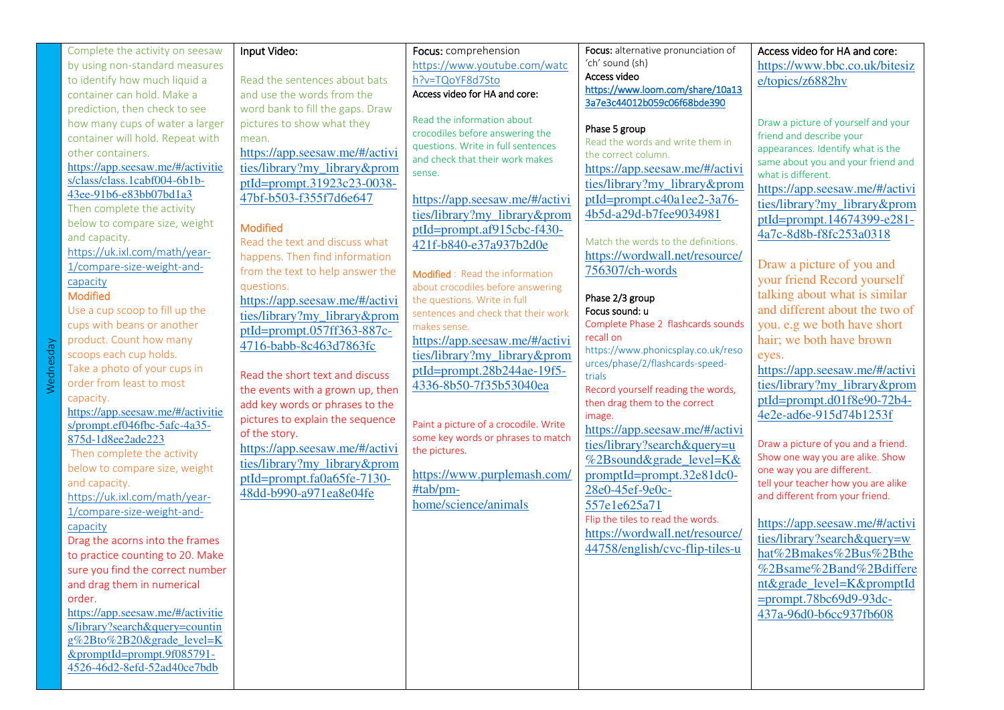| Complete the activity on seesaw                                     | Input Video:                     | Focus: comprehension                                                        | Focus: alternative pronunciation of                             | Access video for HA and core:                                          |
|---------------------------------------------------------------------|----------------------------------|-----------------------------------------------------------------------------|-----------------------------------------------------------------|------------------------------------------------------------------------|
| by using non-standard measures                                      |                                  | https://www.youtube.com/watc                                                | 'ch' sound (sh)                                                 | https://www.bbc.co.uk/bitesiz                                          |
| to identify how much liquid a                                       | Read the sentences about bats    | h?v=TQoYF8d7Sto                                                             | Access video                                                    | e/topics/z6882hv                                                       |
| container can hold. Make a                                          | and use the words from the       | Access video for HA and core:                                               | https://www.loom.com/share/10a13<br>3a7e3c44012b059c06f68bde390 |                                                                        |
| prediction, then check to see                                       | word bank to fill the gaps. Draw |                                                                             |                                                                 |                                                                        |
| how many cups of water a larger                                     | pictures to show what they       | Read the information about                                                  | Phase 5 group                                                   | Draw a picture of yourself and your                                    |
| container will hold. Repeat with                                    | mean.                            | crocodiles before answering the                                             | Read the words and write them in                                | friend and describe your                                               |
| other containers.                                                   | https://app.seesaw.me/#/activi   | questions. Write in full sentences<br>and check that their work makes       | the correct column.                                             | appearances. Identify what is the                                      |
| https://app.seesaw.me/#/activitie                                   | ties/library?my_library&prom     | sense.                                                                      | https://app.seesaw.me/#/activi                                  | same about you and your friend and<br>what is different.               |
| s/class/class.1cabf004-6b1b-                                        | ptId=prompt.31923c23-0038-       |                                                                             | ties/library?my library&prom                                    | https://app.seesaw.me/#/activi                                         |
| 43ee-91b6-e83bb07bd1a3                                              | 47bf-b503-f355f7d6e647           | https://app.seesaw.me/#/activi                                              | ptId=prompt.c40a1ee2-3a76-                                      | ties/library?my_library&prom                                           |
| Then complete the activity                                          |                                  | ties/library?my library&prom                                                | 4b5d-a29d-b7fee9034981                                          |                                                                        |
| below to compare size, weight                                       | <b>Modified</b>                  | ptId=prompt.af915cbc-f430-                                                  |                                                                 | ptId=prompt.14674399-e281-                                             |
| and capacity.                                                       | Read the text and discuss what   | 421f-b840-e37a937b2d0e                                                      | Match the words to the definitions.                             | 4a7c-8d8b-f8fc253a0318                                                 |
| https://uk.ixl.com/math/year-                                       | happens. Then find information   |                                                                             | https://wordwall.net/resource/                                  |                                                                        |
| 1/compare-size-weight-and-                                          | from the text to help answer the | Modified: Read the information                                              | 756307/ch-words                                                 | Draw a picture of you and                                              |
| capacity                                                            | questions.                       | about crocodiles before answering                                           |                                                                 | your friend Record yourself                                            |
| <b>Modified</b>                                                     | https://app.seesaw.me/#/activi   | the questions. Write in full                                                | Phase 2/3 group                                                 | talking about what is similar                                          |
| Use a cup scoop to fill up the                                      | ties/library?my_library&prom     | sentences and check that their work                                         | Focus sound: u                                                  | and different about the two of                                         |
| cups with beans or another                                          | ptId=prompt.057ff363-887c-       | makes sense.                                                                | Complete Phase 2 flashcards sounds                              | you. e.g we both have short                                            |
| product. Count how many                                             | 4716-babb-8c463d7863fc           | https://app.seesaw.me/#/activi                                              | recall on<br>https://www.phonicsplay.co.uk/reso                 | hair; we both have brown                                               |
| scoops each cup holds.                                              |                                  | ties/library?my_library&prom                                                | urces/phase/2/flashcards-speed-                                 | eyes.                                                                  |
| Take a photo of your cups in                                        | Read the short text and discuss  | ptId=prompt.28b244ae-19f5-                                                  | trials                                                          | https://app.seesaw.me/#/activi                                         |
| order from least to most                                            | the events with a grown up, then | 4336-8b50-7f35b53040ea                                                      | Record yourself reading the words,                              | ties/library?my_library&prom                                           |
| capacity.                                                           | add key words or phrases to the  |                                                                             | then drag them to the correct                                   | $ptId=prompt.d01f8e90-72b4-$                                           |
| https://app.seesaw.me/#/activitie                                   | pictures to explain the sequence |                                                                             | image.                                                          | 4e2e-ad6e-915d74b1253f                                                 |
| s/prompt.ef046fbc-5afc-4a35-                                        | of the story.                    | Paint a picture of a crocodile. Write<br>some key words or phrases to match | https://app.seesaw.me/#/activi                                  |                                                                        |
| 875d-1d8ee2ade223                                                   | https://app.seesaw.me/#/activi   | the pictures.                                                               | ties/library?search&query=u                                     | Draw a picture of you and a friend.                                    |
| Then complete the activity                                          | ties/library?my library&prom     |                                                                             | %2Bsound&grade_level=K&                                         | Show one way you are alike. Show                                       |
| below to compare size, weight                                       | ptId=prompt.fa0a65fe-7130-       | https://www.purplemash.com/                                                 | $promptId=prompt.32e81dc0-$                                     | one way you are different.                                             |
| and capacity.                                                       | 48dd-b990-a971ea8e04fe           | #tab/pm-                                                                    | 28e0-45ef-9e0c-                                                 | tell your teacher how you are alike<br>and different from your friend. |
| https://uk.ixl.com/math/year-<br>1/compare-size-weight-and-         |                                  | home/science/animals                                                        | 557e1e625a71                                                    |                                                                        |
|                                                                     |                                  |                                                                             | Flip the tiles to read the words.                               | https://app.seesaw.me/#/activi                                         |
| capacity                                                            |                                  |                                                                             | https://wordwall.net/resource/                                  | ties/library?search&query=w                                            |
| Drag the acorns into the frames<br>to practice counting to 20. Make |                                  |                                                                             | 44758/english/cvc-flip-tiles-u                                  | hat%2Bmakes%2Bus%2Bthe                                                 |
|                                                                     |                                  |                                                                             |                                                                 | %2Bsame%2Band%2Bdiffere                                                |
| sure you find the correct number                                    |                                  |                                                                             |                                                                 | nt&grade_level=K&promptId                                              |
| and drag them in numerical<br>order.                                |                                  |                                                                             |                                                                 |                                                                        |
| https://app.seesaw.me/#/activitie                                   |                                  |                                                                             |                                                                 | $=$ prompt.78bc69d9-93dc-<br>437a-96d0-b6cc937fb608                    |
| s/library?search&query=countin                                      |                                  |                                                                             |                                                                 |                                                                        |
| g%2Bto%2B20&grade level=K                                           |                                  |                                                                             |                                                                 |                                                                        |
| &promptId=prompt.9f085791-                                          |                                  |                                                                             |                                                                 |                                                                        |
| 4526-46d2-8efd-52ad40ce7bdb                                         |                                  |                                                                             |                                                                 |                                                                        |
|                                                                     |                                  |                                                                             |                                                                 |                                                                        |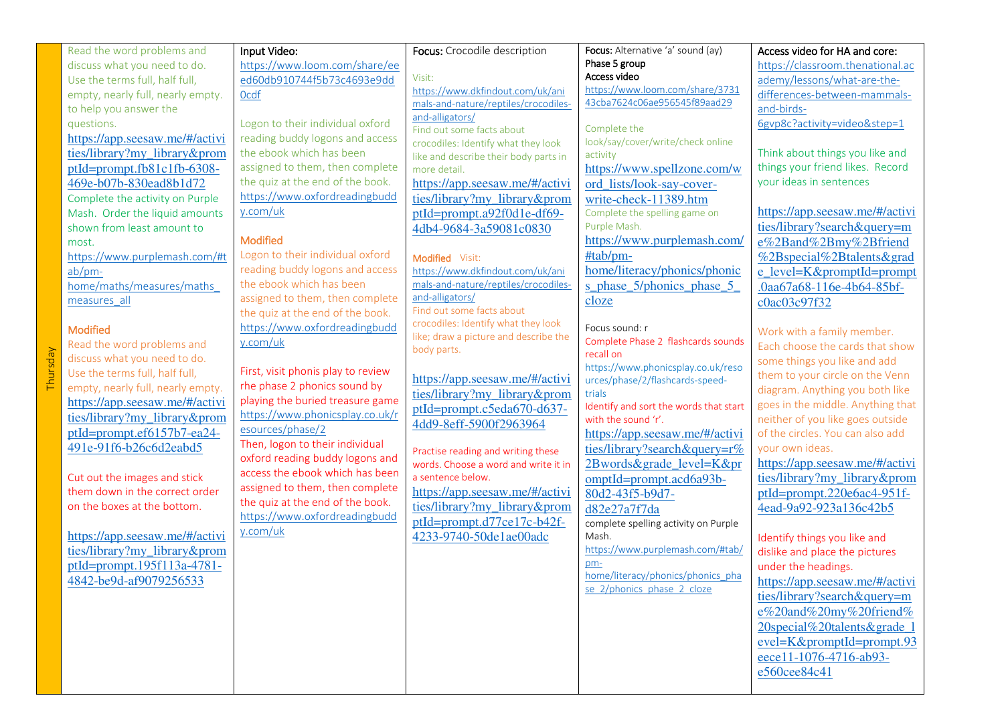| Read the word problems and        | Input Video:                                        | Focus: Crocodile description                 | Focus: Alternative 'a' sound (ay)                               | Access video for HA and core:     |
|-----------------------------------|-----------------------------------------------------|----------------------------------------------|-----------------------------------------------------------------|-----------------------------------|
| discuss what you need to do.      | https://www.loom.com/share/ee                       |                                              | Phase 5 group                                                   | https://classroom.thenational.ac  |
| Use the terms full, half full,    | ed60db910744f5b73c4693e9dd                          | Visit:                                       | Access video                                                    | ademy/lessons/what-are-the-       |
| empty, nearly full, nearly empty. | Ocdf                                                | https://www.dkfindout.com/uk/ani             | https://www.loom.com/share/3731<br>43cba7624c06ae956545f89aad29 | differences-between-mammals-      |
| to help you answer the            |                                                     | mals-and-nature/reptiles/crocodiles-         |                                                                 | and-birds-                        |
| questions.                        | Logon to their individual oxford                    | and-alligators/<br>Find out some facts about | Complete the                                                    | 6gvp8c?activity=video&step=1      |
| https://app.seesaw.me/#/activi    | reading buddy logons and access                     | crocodiles: Identify what they look          | look/say/cover/write/check online                               |                                   |
| ties/library?my_library&prom      | the ebook which has been                            | like and describe their body parts in        | activity                                                        | Think about things you like and   |
| ptId=prompt.fb81c1fb-6308-        | assigned to them, then complete                     | more detail.                                 | https://www.spellzone.com/w                                     | things your friend likes. Record  |
| 469e-b07b-830ead8b1d72            | the quiz at the end of the book.                    | https://app.seesaw.me/#/activi               | ord lists/look-say-cover-                                       | your ideas in sentences           |
| Complete the activity on Purple   | https://www.oxfordreadingbudd                       | ties/library?my_library&prom                 | write-check-11389.htm                                           |                                   |
| Mash. Order the liquid amounts    | y.com/uk                                            | ptId=prompt.a92f0d1e-df69-                   | Complete the spelling game on                                   | https://app.seesaw.me/#/activi    |
| shown from least amount to        |                                                     | 4db4-9684-3a59081c0830                       | Purple Mash.                                                    | ties/library?search&query=m       |
| most.                             | <b>Modified</b>                                     |                                              | https://www.purplemash.com/                                     | e%2Band%2Bmy%2Bfriend             |
| https://www.purplemash.com/#t     | Logon to their individual oxford                    | Modified Visit:                              | #tab/pm-                                                        | %2Bspecial%2Btalents&grad         |
| $ab/pm$ -                         | reading buddy logons and access                     | https://www.dkfindout.com/uk/ani             | home/literacy/phonics/phonic                                    | e_level=K&promptId=prompt         |
| home/maths/measures/maths         | the ebook which has been                            | mals-and-nature/reptiles/crocodiles-         | s_phase_5/phonics_phase_5                                       | .0aa67a68-116e-4b64-85bf-         |
| measures all                      | assigned to them, then complete                     | and-alligators/<br>Find out some facts about | cloze                                                           | c0ac03c97f32                      |
|                                   | the quiz at the end of the book.                    | crocodiles: Identify what they look          |                                                                 |                                   |
| <b>Modified</b>                   | https://www.oxfordreadingbudd                       | like; draw a picture and describe the        | Focus sound: r                                                  | Work with a family member.        |
| Read the word problems and        | y.com/uk                                            | body parts.                                  | Complete Phase 2 flashcards sounds<br>recall on                 | Each choose the cards that show   |
| discuss what you need to do.      |                                                     |                                              | https://www.phonicsplay.co.uk/reso                              | some things you like and add      |
| Use the terms full, half full,    | First, visit phonis play to review                  | https://app.seesaw.me/#/activi               | urces/phase/2/flashcards-speed-                                 | them to your circle on the Venn   |
| empty, nearly full, nearly empty. | rhe phase 2 phonics sound by                        | ties/library?my_library&prom                 | trials                                                          | diagram. Anything you both like   |
| https://app.seesaw.me/#/activi    | playing the buried treasure game                    | ptId=prompt.c5eda670-d637-                   | Identify and sort the words that start                          | goes in the middle. Anything that |
| ties/library?my_library&prom      | https://www.phonicsplay.co.uk/r                     | 4dd9-8eff-5900f2963964                       | with the sound 'r'.                                             | neither of you like goes outside  |
| ptId=prompt.ef6157b7-ea24-        | esources/phase/2<br>Then, logon to their individual |                                              | https://app.seesaw.me/#/activi                                  | of the circles. You can also add  |
| 491e-91f6-b26c6d2eabd5            | oxford reading buddy logons and                     | Practise reading and writing these           | ties/library?search&query=r%                                    | your own ideas.                   |
|                                   | access the ebook which has been                     | words. Choose a word and write it in         | 2Bwords&grade level=K≺                                          | https://app.seesaw.me/#/activi    |
| Cut out the images and stick      | assigned to them, then complete                     | a sentence below.                            | omptId=prompt.acd6a93b-                                         | ties/library?my_library&prom      |
| them down in the correct order    | the quiz at the end of the book.                    | https://app.seesaw.me/#/activi               | 80d2-43f5-b9d7-                                                 | ptId=prompt.220e6ac4-951f-        |
| on the boxes at the bottom.       | https://www.oxfordreadingbudd                       | ties/library?my_library&prom                 | d82e27a7f7da                                                    | 4ead-9a92-923a136c42b5            |
|                                   | y.com/uk                                            | ptId=prompt.d77ce17c-b42f-                   | complete spelling activity on Purple                            |                                   |
| https://app.seesaw.me/#/activi    |                                                     | 4233-9740-50de1ae00adc                       | Mash.                                                           | Identify things you like and      |
| ties/library?my_library&prom      |                                                     |                                              | https://www.purplemash.com/#tab/                                | dislike and place the pictures    |
| ptId=prompt.195f113a-4781-        |                                                     |                                              | pm-<br>home/literacy/phonics/phonics pha                        | under the headings.               |
| 4842-be9d-af9079256533            |                                                     |                                              | se 2/phonics phase 2 cloze                                      | https://app.seesaw.me/#/activi    |
|                                   |                                                     |                                              |                                                                 | ties/library?search&query=m       |
|                                   |                                                     |                                              |                                                                 | e%20and%20my%20friend%            |
|                                   |                                                     |                                              |                                                                 | 20special%20talents&grade_l       |
|                                   |                                                     |                                              |                                                                 | $evel=K&promptId=prompt.93$       |
|                                   |                                                     |                                              |                                                                 | eece11-1076-4716-ab93-            |
|                                   |                                                     |                                              |                                                                 | e560cee84c41                      |
|                                   |                                                     |                                              |                                                                 |                                   |